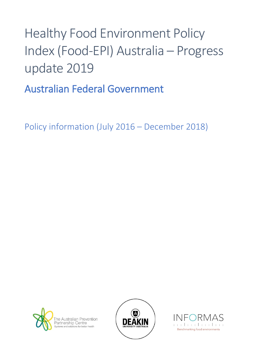# Healthy Food Environment Policy Index (Food-EPI) Australia – Progress update 2019

Australian Federal Government

Policy information (July 2016 – December 2018)





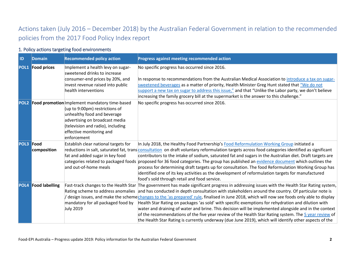## Actions taken (July 2016 – December 2018) by the Australian Federal Government in relation to the recommended policies from the 2017 Food Policy Index report

#### 1. Policy actions targeting food environments

| <b>ID</b>        | <b>Domain</b>           | <b>Recommended policy action</b>                                                                                                                                                                                                      | Progress against meeting recommended action                                                                                                                                                                                                                                                                                                                                                                                                                                                                                                                                                                                                                                                                                                                                                                                                                             |
|------------------|-------------------------|---------------------------------------------------------------------------------------------------------------------------------------------------------------------------------------------------------------------------------------|-------------------------------------------------------------------------------------------------------------------------------------------------------------------------------------------------------------------------------------------------------------------------------------------------------------------------------------------------------------------------------------------------------------------------------------------------------------------------------------------------------------------------------------------------------------------------------------------------------------------------------------------------------------------------------------------------------------------------------------------------------------------------------------------------------------------------------------------------------------------------|
|                  | <b>POL1 Food prices</b> | Implement a health levy on sugar-<br>sweetened drinks to increase<br>consumer-end prices by 20%, and<br>invest revenue raised into public<br>health interventions                                                                     | No specific progress has occurred since 2016.<br>In response to recommendations from the Australian Medical Association to introduce a tax on sugar-<br>sweetened beverages as a matter of priority, Health Minister Greg Hunt stated that "We do not<br>support a new tax on sugar to address this issue," and that "Unlike the Labor party, we don't believe<br>increasing the family grocery bill at the supermarket is the answer to this challenge."                                                                                                                                                                                                                                                                                                                                                                                                               |
|                  |                         | POL2 Food promotion Implement mandatory time-based<br>(up to 9:00pm) restrictions of<br>unhealthy food and beverage<br>advertising on broadcast media<br>(television and radio), including<br>effective monitoring and<br>enforcement | No specific progress has occurred since 2016.                                                                                                                                                                                                                                                                                                                                                                                                                                                                                                                                                                                                                                                                                                                                                                                                                           |
| <b>POL3 Food</b> | composition             | Establish clear national targets for<br>fat and added sugar in key food<br>and out-of-home meals                                                                                                                                      | In July 2018, the Healthy Food Partnership's Food Reformulation Working Group initiated a<br>reductions in salt, saturated fat, trans consultation on draft voluntary reformulation targets across food categories identified as significant<br>contributors to the intake of sodium, saturated fat and sugars in the Australian diet. Draft targets are<br>categories related to packaged foods proposed for 36 food categories. The group has published an evidence document which outlines the<br>process for determining draft targets up for consultation. The food Reformulation Working Group has<br>identified one of its key activities as the development of reformulation targets for manufactured<br>food's sold through retail and food service.                                                                                                           |
|                  | POL4 Food labelling     | mandatory for all packaged food by<br><b>July 2019</b>                                                                                                                                                                                | Fast-track changes to the Health Star The government has made significant progress in addressing issues with the Health Star Rating system,<br>Rating scheme to address anomalies and has conducted in depth consultation with stakeholders around the country. Of particular note is<br>design issues, and make the scheme changes to the 'as prepared' rule, finalised in June 2018, which will now see foods only able to display<br>Health Star Rating on packages 'as sold' with specific exemptions for rehydration and dilution with<br>water and draining of water and brine. This decision will be implemented alongside and in the context<br>of the recommendations of the five year review of the Health Star Rating system. The 5 year review of<br>the Health Star Rating is currently underway (due June 2019), which will identify other aspects of the |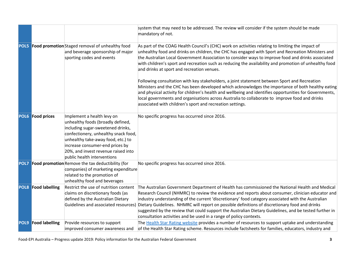|             |                            |                                                                                                                                                                                                                                                                                             | system that may need to be addressed. The review will consider if the system should be made<br>mandatory of not.                                                                                                                                                                                                                                                                                                                                                                                                                                                                                                                                                                                                                                                                                                                                                                       |
|-------------|----------------------------|---------------------------------------------------------------------------------------------------------------------------------------------------------------------------------------------------------------------------------------------------------------------------------------------|----------------------------------------------------------------------------------------------------------------------------------------------------------------------------------------------------------------------------------------------------------------------------------------------------------------------------------------------------------------------------------------------------------------------------------------------------------------------------------------------------------------------------------------------------------------------------------------------------------------------------------------------------------------------------------------------------------------------------------------------------------------------------------------------------------------------------------------------------------------------------------------|
| <b>POL5</b> |                            | Food promotion Staged removal of unhealthy food<br>and beverage sponsorship of major<br>sporting codes and events                                                                                                                                                                           | As part of the COAG Health Council's (CHC) work on activities relating to limiting the impact of<br>unhealthy food and drinks on children, the CHC has engaged with Sport and Recreation Ministers and<br>the Australian Local Government Association to consider ways to improve food and drinks associated<br>with children's sport and recreation such as reducing the availability and promotion of unhealthy food<br>and drinks at sport and recreation venues.<br>Following consultation with key stakeholders, a joint statement between Sport and Recreation<br>Ministers and the CHC has been developed which acknowledges the importance of both healthy eating<br>and physical activity for children's health and wellbeing and identifies opportunities for Governments,<br>local governments and organisations across Australia to collaborate to improve food and drinks |
|             |                            |                                                                                                                                                                                                                                                                                             | associated with children's sport and recreation settings.                                                                                                                                                                                                                                                                                                                                                                                                                                                                                                                                                                                                                                                                                                                                                                                                                              |
|             | POL6 Food prices           | Implement a health levy on<br>unhealthy foods (broadly defined,<br>including sugar-sweetened drinks,<br>confectionery, unhealthy snack food,<br>unhealthy take-away food, etc.) to<br>increase consumer-end prices by<br>20%, and invest revenue raised into<br>public health interventions | No specific progress has occurred since 2016.                                                                                                                                                                                                                                                                                                                                                                                                                                                                                                                                                                                                                                                                                                                                                                                                                                          |
| POL7        |                            | Food promotion Remove the tax deductibility (for<br>companies) of marketing expenditure<br>related to the promotion of<br>unhealthy food and beverages                                                                                                                                      | No specific progress has occurred since 2016.                                                                                                                                                                                                                                                                                                                                                                                                                                                                                                                                                                                                                                                                                                                                                                                                                                          |
|             | <b>POL8</b> Food labelling | Restrict the use of nutrition content<br>claims on discretionary foods (as<br>defined by the Australian Dietary                                                                                                                                                                             | The Australian Government Department of Health has commissioned the National Health and Medical<br>Research Council (NHMRC) to review the evidence and reports about consumer, clinician educator and<br>industry understanding of the current 'discretionary' food category associated with the Australian<br>Guidelines and associated resources) Dietary Guidelines. NHMRC will report on possible definitions of discretionary food and drinks<br>suggested by the review that could support the Australian Dietary Guidelines, and be tested further in<br>consultation activities and be used in a range of policy contexts.                                                                                                                                                                                                                                                     |
|             | <b>POL9</b> Food labelling | Provide resources to support<br>improved consumer awareness and                                                                                                                                                                                                                             | The Health Star Rating website provides a number of resources to support uptake and understanding<br>of the Health Star Rating scheme. Resources include factsheets for families, educators, industry and                                                                                                                                                                                                                                                                                                                                                                                                                                                                                                                                                                                                                                                                              |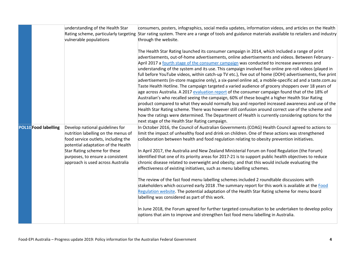|                             | understanding of the Health Star<br>vulnerable populations                                                                                                                                                                                                   | consumers, posters, infographics, social media updates, information videos, and articles on the Health<br>Rating scheme, particularly targeting Star rating system. There are a range of tools and guidance materials available to retailers and industry<br>through the website.                                                                                                                                                                                                                                                                                                                                                                                                                                                                                                                                                                                                                                                                                                                                                                                                                                                                                                                                                                                                                             |
|-----------------------------|--------------------------------------------------------------------------------------------------------------------------------------------------------------------------------------------------------------------------------------------------------------|---------------------------------------------------------------------------------------------------------------------------------------------------------------------------------------------------------------------------------------------------------------------------------------------------------------------------------------------------------------------------------------------------------------------------------------------------------------------------------------------------------------------------------------------------------------------------------------------------------------------------------------------------------------------------------------------------------------------------------------------------------------------------------------------------------------------------------------------------------------------------------------------------------------------------------------------------------------------------------------------------------------------------------------------------------------------------------------------------------------------------------------------------------------------------------------------------------------------------------------------------------------------------------------------------------------|
|                             |                                                                                                                                                                                                                                                              | The Health Star Rating launched its consumer campaign in 2014, which included a range of print<br>advertisements, out-of-home advertisements, online advertisements and videos. Between February -<br>April 2017 a fourth stage of the consumer campaign was conducted to increase awareness and<br>understanding of the system and its use. This campaign involved five online pre-roll videos (played in<br>full before YouTube videos, within catch-up TV etc.), five out of home (OOH) advertisements, five print<br>advertisements (in-store magazine only), a six-panel online ad, a mobile-specific ad and a taste.com.au<br>Taste Health Hotline. The campaign targeted a varied audience of grocery shoppers over 18 years of<br>age across Australia. A 2017 evaluation report of the consumer campaign found that of the 18% of<br>Australian's who recalled seeing the campaign, 60% of these bought a higher Health Star Rating<br>product compared to what they would normally buy and reported increased awareness and use of the<br>Health Star Rating scheme. There was however still confusion around correct use of the scheme and<br>how the ratings were determined. The Department of Health is currently considering options for the<br>next stage of the Health Star Rating campaign. |
| <b>POL10</b> Food labelling | Develop national guidelines for<br>nutrition labelling on the menus of<br>food service outlets, including the<br>potential adaptation of the Health<br>Star Rating scheme for these<br>purposes, to ensure a consistent<br>approach is used across Australia | In October 2016, the Council of Australian Governments (COAG) Health Council agreed to actions to<br>limit the impact of unhealthy food and drink on children. One of these actions was strengthened<br>collaboration between health and food regulation relating to obesity prevention initiatives.<br>In April 2017, the Australia and New Zealand Ministerial Forum on Food Regulation (the Forum)<br>identified that one of its priority areas for 2017-21 is to support public health objectives to reduce<br>chronic disease related to overweight and obesity; and that this would include evaluating the<br>effectiveness of existing initiatives, such as menu labelling schemes.<br>The review of the fast food menu labelling schemes included 2 roundtable discussions with<br>stakeholders which occurred early 2018 .The summary report for this work is available at the Food<br>Regulation website. The potential adaptation of the Health Star Rating scheme for menu board<br>labelling was considered as part of this work.<br>In June 2018, the Forum agreed for further targeted consultation to be undertaken to develop policy<br>options that aim to improve and strengthen fast food menu labelling in Australia.                                                                    |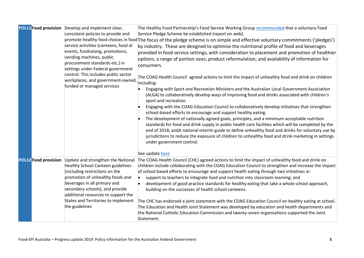|                      | <b>POL11 Food provision</b> Develop and implement clear,<br>consistent policies to provide and<br>service activities (canteens, food at<br>events, fundraising, promotions,<br>vending machines, public<br>procurement standards etc.) in<br>settings under Federal government<br>control. This includes public sector<br>workplaces, and government-owned,<br>funded or managed services | The Healthy Food Partnership's Food Service Working Group recommended that a voluntary Food<br>Service Pledge Scheme be established (report on web).<br>promote healthy food choices in food The focus of the pledge scheme is on simple and effective voluntary commitments ('pledges')<br>by industry. These are designed to optimise the nutritional profile of food and beverages<br>provided in food service settings, with consideration to placement and promotion of healthier<br>options; a range of portion sizes; product reformulation; and availability of information for<br>consumers.<br>The COAG Health Council agreed actions to limit the impact of unhealthy food and drink on children<br>including:<br>Engaging with Sport and Recreation Ministers and the Australian Local Government Association<br>(ALGA) to collaboratively develop ways of improving food and drinks associated with children's<br>sport and recreation.<br>Engaging with the COAG Education Council to collaboratively develop initiatives that strengthen<br>school-based efforts to encourage and support healthy eating.<br>The development of nationally agreed goals, principles, and a minimum acceptable nutrition<br>standards for food and drink supply in public health care facilities which will be completed by the<br>end of 2018; andA national interim guide to define unhealthy food and drinks for voluntary use by<br>jurisdictions to reduce the exposure of children to unhealthy food and drink marketing in settings<br>under government control. |
|----------------------|-------------------------------------------------------------------------------------------------------------------------------------------------------------------------------------------------------------------------------------------------------------------------------------------------------------------------------------------------------------------------------------------|-----------------------------------------------------------------------------------------------------------------------------------------------------------------------------------------------------------------------------------------------------------------------------------------------------------------------------------------------------------------------------------------------------------------------------------------------------------------------------------------------------------------------------------------------------------------------------------------------------------------------------------------------------------------------------------------------------------------------------------------------------------------------------------------------------------------------------------------------------------------------------------------------------------------------------------------------------------------------------------------------------------------------------------------------------------------------------------------------------------------------------------------------------------------------------------------------------------------------------------------------------------------------------------------------------------------------------------------------------------------------------------------------------------------------------------------------------------------------------------------------------------------------------------------------------------------------|
|                      |                                                                                                                                                                                                                                                                                                                                                                                           | See update here                                                                                                                                                                                                                                                                                                                                                                                                                                                                                                                                                                                                                                                                                                                                                                                                                                                                                                                                                                                                                                                                                                                                                                                                                                                                                                                                                                                                                                                                                                                                                       |
| POL12 Food provision | Update and strengthen the National<br><b>Healthy School Canteen guidelines</b><br>(including restrictions on the<br>promotion of unhealthy foods and<br>beverages in all primary and<br>secondary schools), and provide<br>additional resources to support the<br>States and Territories to implement<br>the guidelines                                                                   | The COAG Health Council (CHC) agreed actions to limit the impact of unhealthy food and drink on<br>children include collaborating with the COAG Education Council to strengthen and increase the impact<br>of school based efforts to encourage and support health eating through two initiatives in:<br>support to teachers to integrate food and nutrition into classroom learning; and<br>development of good practice standards for healthy eating that take a whole school approach,<br>building on the successes of health school canteens.<br>The CHC has endorsed a joint statement with the COAG Education Council on healthy eating at school.<br>The Education and Health Joint Statement was developed by education and health departments and<br>the National Catholic Education Commission and twenty-seven organisations supported the Joint<br>Statement.                                                                                                                                                                                                                                                                                                                                                                                                                                                                                                                                                                                                                                                                                             |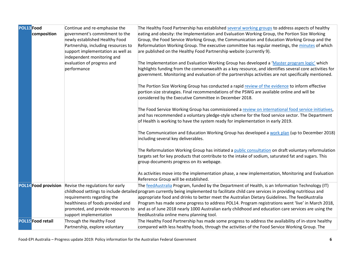| <b>POL13</b> Food        | Continue and re-emphasise the                                | The Healthy Food Partnership has established several working groups to address aspects of healthy                                         |
|--------------------------|--------------------------------------------------------------|-------------------------------------------------------------------------------------------------------------------------------------------|
| composition              | government's commitment to the                               | eating and obesity: the Implementation and Evaluation Working Group, the Portion Size Working                                             |
|                          | newly established Healthy Food                               | Group, the Food Service Working Group, the Communication and Education Working Group and the                                              |
|                          | Partnership, including resources to                          | Reformulation Working Group. The executive committee has regular meetings, the minutes of which                                           |
|                          | support implementation as well as                            | are published on the Healthy Food Partnership website (currently 9).                                                                      |
|                          | independent monitoring and<br>evaluation of progress and     | The Implementation and Evaluation Working Group has developed a 'Master program logic' which                                              |
|                          | performance                                                  | highlights funding from the commonwealth as a key resource, and identifies several core activities for                                    |
|                          |                                                              | government. Monitoring and evaluation of the partnerships activities are not specifically mentioned.                                      |
|                          |                                                              |                                                                                                                                           |
|                          |                                                              | The Portion Size Working Group has conducted a rapid review of the evidence to inform effective                                           |
|                          |                                                              | portion size strategies. Final recommendations of the PSWG are available online and will be                                               |
|                          |                                                              | considered by the Executive Committee in December 2018.                                                                                   |
|                          |                                                              |                                                                                                                                           |
|                          |                                                              | The Food Service Working Group has commissioned a review on international food service initiatives,                                       |
|                          |                                                              | and has recommended a voluntary pledge-style scheme for the food service sector. The Department                                           |
|                          |                                                              | of Health is working to have the system ready for implementation in early 2019.                                                           |
|                          |                                                              | The Communication and Education Working Group has developed a work plan (up to December 2018)                                             |
|                          |                                                              | including several key deliverables.                                                                                                       |
|                          |                                                              |                                                                                                                                           |
|                          |                                                              | The Reformulation Working Group has initiated a public consultation on draft voluntary reformulation                                      |
|                          |                                                              | targets set for key products that contribute to the intake of sodium, saturated fat and sugars. This                                      |
|                          |                                                              | group documents progress on its webpage.                                                                                                  |
|                          |                                                              |                                                                                                                                           |
|                          |                                                              | As activities move into the implementation phase, a new implementation, Monitoring and Evaluation<br>Reference Group will be established. |
|                          | <b>POL14 Food provision</b> Revise the regulations for early | The feedAustralia Program, funded by the Department of Health, is an Information Technology (IT)                                          |
|                          |                                                              | childhood settings to include detailed program currently being implemented to facilitate child care services in providing nutritious and  |
|                          | requirements regarding the                                   | appropriate food and drinks to better meet the Australian Dietary Guidelines. The feedAustralia                                           |
|                          | healthiness of foods provided and                            | Program has made some progress to address POL14. Program registrations went 'live' in March 2018,                                         |
|                          | promoted, and provide resources to                           | and as of June 2018 nearly 1000 Australian early childhood and education care services are using the                                      |
|                          | support implementation                                       | feedAustralia online menu planning tool.                                                                                                  |
| <b>POL15</b> Food retail | Through the Healthy Food                                     | The Healthy Food Partnership has made some progress to address the availability of in-store healthy                                       |
|                          | Partnership, explore voluntary                               | compared with less healthy foods, through the activities of the Food Service Working Group. The                                           |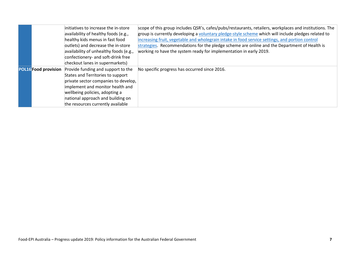|                             | initiatives to increase the in-store<br>availability of healthy foods (e.g.,<br>healthy kids menus in fast food<br>outlets) and decrease the in-store<br>availability of unhealthy foods (e.g.,<br>confectionery- and soft-drink free<br>checkout lanes in supermarkets) | scope of this group includes QSR's, cafes/pubs/restaurants, retailers, workplaces and institutions. The<br>group is currently developing a voluntary pledge-style scheme which will include pledges related to<br>increasing fruit, vegetable and wholegrain intake in food service settings, and portion control<br>strategies. Recommendations for the pledge scheme are online and the Department of Health is<br>working ro have the system ready for implementation in early 2019. |
|-----------------------------|--------------------------------------------------------------------------------------------------------------------------------------------------------------------------------------------------------------------------------------------------------------------------|-----------------------------------------------------------------------------------------------------------------------------------------------------------------------------------------------------------------------------------------------------------------------------------------------------------------------------------------------------------------------------------------------------------------------------------------------------------------------------------------|
| <b>POL16</b> Food provision | Provide funding and support to the<br>States and Territories to support<br>private sector companies to develop,<br>implement and monitor health and<br>wellbeing policies, adopting a<br>national approach and building on<br>the resources currently available          | No specific progress has occurred since 2016.                                                                                                                                                                                                                                                                                                                                                                                                                                           |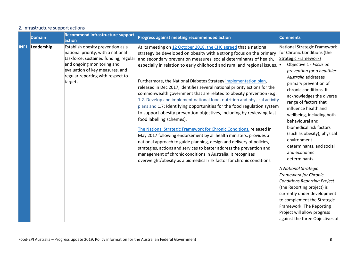| <b>Domain</b>          | <b>Recommend infrastructure support</b><br>action                                                                                                                                                                                 | Progress against meeting recommended action                                                                                                                                                                                                                                                                                                                                                                                                                                                                                                                                                                                                                                                                                                                                                                                                                                                                                                                                                                                                                                                                                                                                                                                | <b>Comments</b>                                                                                                                                                                                                                                                                                                                                                                                                                                                                                                                                                                                                                                                                                                                                                                          |
|------------------------|-----------------------------------------------------------------------------------------------------------------------------------------------------------------------------------------------------------------------------------|----------------------------------------------------------------------------------------------------------------------------------------------------------------------------------------------------------------------------------------------------------------------------------------------------------------------------------------------------------------------------------------------------------------------------------------------------------------------------------------------------------------------------------------------------------------------------------------------------------------------------------------------------------------------------------------------------------------------------------------------------------------------------------------------------------------------------------------------------------------------------------------------------------------------------------------------------------------------------------------------------------------------------------------------------------------------------------------------------------------------------------------------------------------------------------------------------------------------------|------------------------------------------------------------------------------------------------------------------------------------------------------------------------------------------------------------------------------------------------------------------------------------------------------------------------------------------------------------------------------------------------------------------------------------------------------------------------------------------------------------------------------------------------------------------------------------------------------------------------------------------------------------------------------------------------------------------------------------------------------------------------------------------|
| <b>INF1 Leadership</b> | Establish obesity prevention as a<br>national priority, with a national<br>taskforce, sustained funding, regular<br>and ongoing monitoring and<br>evaluation of key measures, and<br>regular reporting with respect to<br>targets | At its meeting on 12 October 2018, the CHC agreed that a national<br>strategy be developed on obesity with a strong focus on the primary<br>and secondary prevention measures, social determinants of health,<br>especially in relation to early childhood and rural and regional issues.<br>Furthermore, the National Diabetes Strategy implementation plan,<br>released in Dec 2017, identifies several national priority actions for the<br>commonwealth government that are related to obesity prevention (e.g.<br>1.2. Develop and implement national food, nutrition and physical activity<br>plans and 1.7: Identifying opportunities for the food regulation system<br>to support obesity prevention objectives, including by reviewing fast<br>food labelling schemes).<br>The National Strategic Framework for Chronic Conditions, released in<br>May 2017 following endorsement by all health ministers, provides a<br>national approach to guide planning, design and delivery of policies,<br>strategies, actions and services to better address the prevention and<br>management of chronic conditions in Australia. It recognises<br>overweight/obesity as a biomedical risk factor for chronic conditions. | National Strategic Framework<br>for Chronic Conditions (the<br><b>Strategic Framework)</b><br>Objective 1 - Focus on<br>prevention for a healthier<br>Australia addresses<br>primary prevention of<br>chronic conditions. It<br>acknowledges the diverse<br>range of factors that<br>influence health and<br>wellbeing, including both<br>behavioural and<br>biomedical risk factors<br>(such as obesity), physical<br>environment<br>determinants, and social<br>and economic<br>determinants.<br>A National Strategic<br><b>Framework for Chronic</b><br><b>Conditions Reporting Project</b><br>(the Reporting project) is<br>currently under development<br>to complement the Strategic<br>Framework. The Reporting<br>Project will allow progress<br>against the three Objectives of |

#### 2. Infrastructure support actions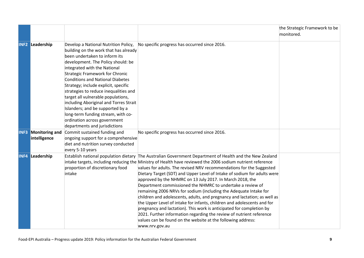|      |                                       |                                                                                                                                                                                                                                                                                                                                                                                                                                                                                                                                                      |                                                                                                                                                                                                                                                                                                                                                                                                                                                                                                                                                                                                                                                                                                                                                                                                                                                                                                                                                                      | the Strategic Framework to be |
|------|---------------------------------------|------------------------------------------------------------------------------------------------------------------------------------------------------------------------------------------------------------------------------------------------------------------------------------------------------------------------------------------------------------------------------------------------------------------------------------------------------------------------------------------------------------------------------------------------------|----------------------------------------------------------------------------------------------------------------------------------------------------------------------------------------------------------------------------------------------------------------------------------------------------------------------------------------------------------------------------------------------------------------------------------------------------------------------------------------------------------------------------------------------------------------------------------------------------------------------------------------------------------------------------------------------------------------------------------------------------------------------------------------------------------------------------------------------------------------------------------------------------------------------------------------------------------------------|-------------------------------|
|      |                                       |                                                                                                                                                                                                                                                                                                                                                                                                                                                                                                                                                      |                                                                                                                                                                                                                                                                                                                                                                                                                                                                                                                                                                                                                                                                                                                                                                                                                                                                                                                                                                      | monitored.                    |
|      | <b>INF2 Leadership</b>                | Develop a National Nutrition Policy,<br>building on the work that has already<br>been undertaken to inform its<br>development. The Policy should: be<br>integrated with the National<br><b>Strategic Framework for Chronic</b><br><b>Conditions and National Diabetes</b><br>Strategy; include explicit, specific<br>strategies to reduce inequalities and<br>target all vulnerable populations,<br>including Aboriginal and Torres Strait<br>Islanders; and be supported by a<br>long-term funding stream, with co-<br>ordination across government | No specific progress has occurred since 2016.                                                                                                                                                                                                                                                                                                                                                                                                                                                                                                                                                                                                                                                                                                                                                                                                                                                                                                                        |                               |
| INF3 | <b>Monitoring and</b><br>intelligence | departments and jurisdictions<br>Commit sustained funding and<br>ongoing support for a comprehensive<br>diet and nutrition survey conducted<br>every 5-10 years                                                                                                                                                                                                                                                                                                                                                                                      | No specific progress has occurred since 2016.                                                                                                                                                                                                                                                                                                                                                                                                                                                                                                                                                                                                                                                                                                                                                                                                                                                                                                                        |                               |
| INF4 | Leadership                            | proportion of discretionary food<br>intake                                                                                                                                                                                                                                                                                                                                                                                                                                                                                                           | Establish national population dietary The Australian Government Department of Health and the New Zealand<br>intake targets, including reducing the Ministry of Health have reviewed the 2006 sodium nutrient reference<br>values for adults. The revised NRV recommendations for the Suggested<br>Dietary Target (SDT) and Upper Level of Intake of sodium for adults were<br>approved by the NHMRC on 13 July 2017. In March 2018, the<br>Department commissioned the NHMRC to undertake a review of<br>remaining 2006 NRVs for sodium (including the Adequate Intake for<br>children and adolescents, adults, and pregnancy and lactation; as well as<br>the Upper Level of intake for infants, children and adolescents and for<br>pregnancy and lactation). This work is anticipated for completion by<br>2021. Further information regarding the review of nutrient reference<br>values can be found on the website at the following address:<br>www.nrv.gov.au |                               |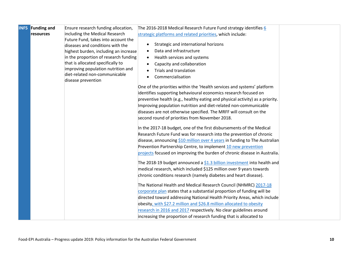| INF5 | <b>Funding and</b> | Ensure research funding allocation,                                     | The 2016-2018 Medical Research Future Fund strategy identifies 6              |  |
|------|--------------------|-------------------------------------------------------------------------|-------------------------------------------------------------------------------|--|
|      | resources          | including the Medical Research                                          | strategic platforms and related priorities, which include:                    |  |
|      |                    | Future Fund, takes into account the                                     |                                                                               |  |
|      |                    | diseases and conditions with the                                        | Strategic and international horizons<br>$\bullet$                             |  |
|      |                    | highest burden, including an increase                                   | Data and infrastructure                                                       |  |
|      |                    | in the proportion of research funding                                   | Health services and systems<br>$\bullet$                                      |  |
|      |                    | that is allocated specifically to<br>improving population nutrition and | Capacity and collaboration                                                    |  |
|      |                    | diet-related non-communicable                                           | Trials and translation                                                        |  |
|      |                    | disease prevention                                                      | Commercialisation                                                             |  |
|      |                    |                                                                         | One of the priorities within the 'Health services and systems' platform       |  |
|      |                    |                                                                         | identifies supporting behavioural economics research focused on               |  |
|      |                    |                                                                         | preventive health (e.g., healthy eating and physical activity) as a priority. |  |
|      |                    |                                                                         | Improving population nutrition and diet-related non-communicable              |  |
|      |                    |                                                                         | diseases are not otherwise specified. The MRFF will consult on the            |  |
|      |                    |                                                                         | second round of priorities from November 2018.                                |  |
|      |                    |                                                                         | In the 2017-18 budget, one of the first disbursements of the Medical          |  |
|      |                    |                                                                         | Research Future Fund was for research into the prevention of chronic          |  |
|      |                    |                                                                         | disease, announcing \$10 million over 4 years in funding to The Australian    |  |
|      |                    |                                                                         | Prevention Partnership Centre, to implement 10 new prevention                 |  |
|      |                    |                                                                         | projects focused on improving the burden of chronic disease in Australia.     |  |
|      |                    |                                                                         | The 2018-19 budget announced a \$1.3 billion investment into health and       |  |
|      |                    |                                                                         | medical research, which included \$125 million over 9 years towards           |  |
|      |                    |                                                                         | chronic conditions research (namely diabetes and heart disease).              |  |
|      |                    |                                                                         | The National Health and Medical Research Council (NHMRC) 2017-18              |  |
|      |                    |                                                                         | corporate plan states that a substantial proportion of funding will be        |  |
|      |                    |                                                                         | directed toward addressing National Health Priority Areas, which include      |  |
|      |                    |                                                                         | obesity, with \$27.2 million and \$26.8 million allocated to obesity          |  |
|      |                    |                                                                         | research in 2016 and 2017 respectively. No clear guidelines around            |  |
|      |                    |                                                                         | increasing the proportion of research funding that is allocated to            |  |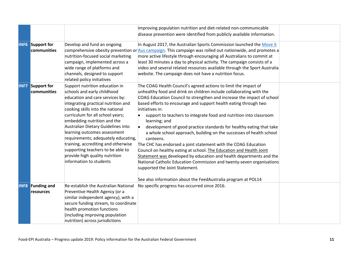|                  |                                        |                                                                                                                                                                                                                                                                                                                                                                                                                                                                                                      | improving population nutrition and diet-related non-communicable<br>disease prevention were identified from publicly available information.                                                                                                                                                                                                                                                                                                                                                                                                                                                                                                                                                                                                                                                                                                                                                                                                                        |  |
|------------------|----------------------------------------|------------------------------------------------------------------------------------------------------------------------------------------------------------------------------------------------------------------------------------------------------------------------------------------------------------------------------------------------------------------------------------------------------------------------------------------------------------------------------------------------------|--------------------------------------------------------------------------------------------------------------------------------------------------------------------------------------------------------------------------------------------------------------------------------------------------------------------------------------------------------------------------------------------------------------------------------------------------------------------------------------------------------------------------------------------------------------------------------------------------------------------------------------------------------------------------------------------------------------------------------------------------------------------------------------------------------------------------------------------------------------------------------------------------------------------------------------------------------------------|--|
|                  | <b>INF6</b> Support for<br>communities | Develop and fund an ongoing<br>nutrition-focused social marketing<br>campaign, implemented across a<br>wide range of platforms and<br>channels, designed to support<br>related policy initiatives                                                                                                                                                                                                                                                                                                    | In August 2017, the Australian Sports Commission launched the Move it<br>comprehensive obesity prevention or Aus campaign. This campaign was rolled out nationwide, and promotes a<br>more active lifestyle through encouraging all Australians to commit at<br>least 30 minutes a day to physical activity. The campaign consists of a<br>video and several related resources available through the Sport Australia<br>website. The campaign does not have a nutrition focus.                                                                                                                                                                                                                                                                                                                                                                                                                                                                                     |  |
|                  | <b>INF7</b> Support for<br>communities | Support nutrition education in<br>schools and early childhood<br>education and care services by:<br>integrating practical nutrition and<br>cooking skills into the national<br>curriculum for all school years;<br>embedding nutrition and the<br>Australian Dietary Guidelines into<br>learning outcomes assessment<br>requirements; adequately educating,<br>training, accrediting and otherwise<br>supporting teachers to be able to<br>provide high quality nutrition<br>information to students | The COAG Health Council's agreed actions to limit the impact of<br>unhealthy food and drink on children include collaborating with the<br>COAG Education Council to strengthen and increase the impact of school<br>based efforts to encourage and support health eating through two<br>initiatives in:<br>support to teachers to integrate food and nutrition into classroom<br>learning; and<br>development of good practice standards for healthy eating that take<br>$\bullet$<br>a whole school approach, building on the successes of health school<br>canteens.<br>The CHC has endorsed a joint statement with the COAG Education<br>Council on healthy eating at school. The Education and Health Joint<br>Statement was developed by education and health departments and the<br>National Catholic Education Commission and twenty-seven organisations<br>supported the Joint Statement.<br>See also information about the FeedAustralia program at POL14 |  |
| INF <sub>8</sub> | <b>Funding and</b><br>resources        | <b>Re-establish the Australian National</b><br>Preventive Health Agency (or a<br>similar independent agency), with a<br>secure funding stream, to coordinate<br>health promotion functions<br>(including improving population<br>nutrition) across jurisdictions                                                                                                                                                                                                                                     | No specific progress has occurred since 2016.                                                                                                                                                                                                                                                                                                                                                                                                                                                                                                                                                                                                                                                                                                                                                                                                                                                                                                                      |  |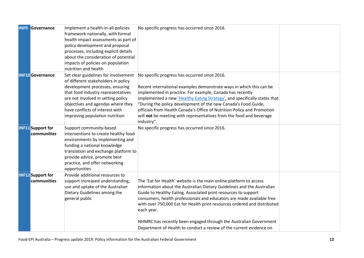| <b>INF9</b> | Governance                              | Implement a health-in-all-policies<br>framework nationally, with formal<br>health impact assessments as part of<br>policy development and proposal<br>processes, including explicit details<br>about the consideration of potential<br>impacts of policies on population<br>nutrition and health     | No specific progress has occurred since 2016.                                                                                                                                                                                                                                                                                                                                                                                                                                                                                 |  |
|-------------|-----------------------------------------|------------------------------------------------------------------------------------------------------------------------------------------------------------------------------------------------------------------------------------------------------------------------------------------------------|-------------------------------------------------------------------------------------------------------------------------------------------------------------------------------------------------------------------------------------------------------------------------------------------------------------------------------------------------------------------------------------------------------------------------------------------------------------------------------------------------------------------------------|--|
|             | <b>INF10</b> Governance                 | Set clear guidelines for involvement<br>of different stakeholders in policy<br>development processes, ensuring<br>that food industry representatives<br>are not involved in setting policy<br>objectives and agendas where they<br>have conflicts of interest with<br>improving population nutrition | No specific progress has occurred since 2016.<br>Recent international examples demonstrate ways in which this can be<br>implemented in practice. For example, Canada has recently<br>implemented a new <i>Healthy Eating Strategy'</i> , and specifically states that<br>'During the policy development of the new Canada's Food Guide,<br>officials from Health Canada's Office of Nutrition Policy and Promotion<br>will not be meeting with representatives from the food and beverage<br>industry".                       |  |
|             | <b>INF11</b> Support for<br>communities | Support community-based<br>interventions to create healthy food<br>environments by implementing and<br>funding a national knowledge<br>translation and exchange platform to<br>provide advice, promote best<br>practice, and offer networking<br>opportunities                                       | No specific progress has occurred since 2016.                                                                                                                                                                                                                                                                                                                                                                                                                                                                                 |  |
|             | <b>INF12</b> Support for<br>communities | Provide additional resources to<br>support increased understanding,<br>use and uptake of the Australian<br>Dietary Guidelines among the<br>general public                                                                                                                                            | The 'Eat for Health' website is the main online platform to access<br>information about the Australian Dietary Guidelines and the Australian<br>Guide to Healthy Eating. Associated print resources to support<br>consumers, health professionals and educators are made available free<br>with over 750,000 Eat for Health print resources ordered and distributed<br>each year.<br>NHMRC has recently been engaged through the Australian Government<br>Department of Health to conduct a review of the current evidence on |  |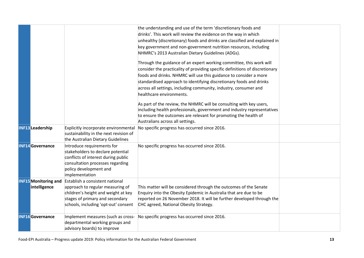|                         |                                             |                                                                                                                                                                                        | the understanding and use of the term 'discretionary foods and<br>drinks'. This work will review the evidence on the way in which<br>unhealthy (discretionary) foods and drinks are classified and explained in<br>key government and non-government nutrition resources, including<br>NHMRC's 2013 Australian Dietary Guidelines (ADGs).                                                       |  |
|-------------------------|---------------------------------------------|----------------------------------------------------------------------------------------------------------------------------------------------------------------------------------------|-------------------------------------------------------------------------------------------------------------------------------------------------------------------------------------------------------------------------------------------------------------------------------------------------------------------------------------------------------------------------------------------------|--|
|                         |                                             |                                                                                                                                                                                        | Through the guidance of an expert working committee, this work will<br>consider the practicality of providing specific definitions of discretionary<br>foods and drinks. NHMRC will use this guidance to consider a more<br>standardised approach to identifying discretionary foods and drinks<br>across all settings, including community, industry, consumer and<br>healthcare environments. |  |
|                         |                                             |                                                                                                                                                                                        | As part of the review, the NHMRC will be consulting with key users,<br>including health professionals, government and industry representatives<br>to ensure the outcomes are relevant for promoting the health of<br>Australians across all settings.                                                                                                                                           |  |
| <b>INF13</b> Leadership |                                             | Explicitly incorporate environmental<br>sustainability in the next revision of<br>the Australian Dietary Guidelines                                                                    | No specific progress has occurred since 2016.                                                                                                                                                                                                                                                                                                                                                   |  |
|                         | <b>INF14</b> Governance                     | Introduce requirements for<br>stakeholders to declare potential<br>conflicts of interest during public<br>consultation processes regarding<br>policy development and<br>implementation | No specific progress has occurred since 2016.                                                                                                                                                                                                                                                                                                                                                   |  |
|                         | <b>INF15</b> Monitoring and<br>intelligence | Establish a consistent national<br>approach to regular measuring of<br>children's height and weight at key<br>stages of primary and secondary<br>schools, including 'opt-out' consent  | This matter will be considered through the outcomes of the Senate<br>Enquiry into the Obesity Epidemic in Australia that are due to be<br>reported on 26 November 2018. It will be further developed through the<br>CHC agreed, National Obesity Strategy.                                                                                                                                      |  |
|                         | <b>INF16</b> Governance                     | Implement measures (such as cross-<br>departmental working groups and<br>advisory boards) to improve                                                                                   | No specific progress has occurred since 2016.                                                                                                                                                                                                                                                                                                                                                   |  |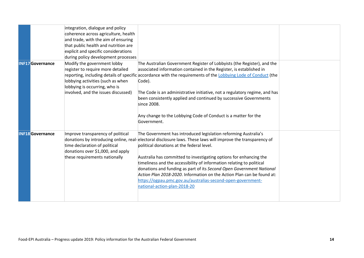|                         | integration, dialogue and policy<br>coherence across agriculture, health<br>that public health and nutrition are<br>explicit and specific considerations                      |                                                                                                                                                                                                                                                                                                                                                                                                                                        |                                                                                                                                                                                                                                                                                                                                                                                                                                                                                                  |
|-------------------------|-------------------------------------------------------------------------------------------------------------------------------------------------------------------------------|----------------------------------------------------------------------------------------------------------------------------------------------------------------------------------------------------------------------------------------------------------------------------------------------------------------------------------------------------------------------------------------------------------------------------------------|--------------------------------------------------------------------------------------------------------------------------------------------------------------------------------------------------------------------------------------------------------------------------------------------------------------------------------------------------------------------------------------------------------------------------------------------------------------------------------------------------|
| <b>INF17</b> Governance | Modify the government lobby<br>register to require more detailed<br>lobbying activities (such as when<br>lobbying is occurring, who is<br>involved, and the issues discussed) | The Australian Government Register of Lobbyists (the Register), and the<br>Code).<br>been consistently applied and continued by successive Governments<br>since 2008.                                                                                                                                                                                                                                                                  |                                                                                                                                                                                                                                                                                                                                                                                                                                                                                                  |
|                         |                                                                                                                                                                               | Any change to the Lobbying Code of Conduct is a matter for the<br>Government.                                                                                                                                                                                                                                                                                                                                                          |                                                                                                                                                                                                                                                                                                                                                                                                                                                                                                  |
| <b>INF18</b> Governance | Improve transparency of political<br>time declaration of political<br>donations over \$1,000, and apply<br>these requirements nationally                                      | The Government has introduced legislation reforming Australia's<br>political donations at the federal level.<br>timeliness and the accessibility of information relating to political<br>donations and funding as part of its Second Open Government National<br>Action Plan 2018-2020. Information on the Action Plan can be found at:<br>https://ogpau.pmc.gov.au/australias-second-open-government-<br>national-action-plan-2018-20 |                                                                                                                                                                                                                                                                                                                                                                                                                                                                                                  |
|                         |                                                                                                                                                                               | and trade, with the aim of ensuring                                                                                                                                                                                                                                                                                                                                                                                                    | during policy development processes<br>associated information contained in the Register, is established in<br>reporting, including details of specific accordance with the requirements of the Lobbying Lode of Conduct (the<br>The Code is an administrative initiative, not a regulatory regime, and has<br>donations by introducing online, real-electoral disclosure laws. These laws will improve the transparency of<br>Australia has committed to investigating options for enhancing the |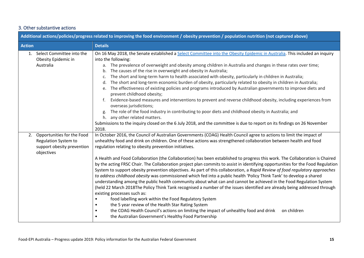#### 3. Other substantive actions

| Additional actions/policies/progress related to improving the food environment / obesity prevention / population nutrition (not captured above) |                                                                                                                                                                                                                                                                                                                                                                                                                                                                                                                                                                                                                                                                                                                                                                                                                                                                                                                                                                                                                                                                                                                                                                                                                                                                                                                                                                                                                           |  |  |  |
|-------------------------------------------------------------------------------------------------------------------------------------------------|---------------------------------------------------------------------------------------------------------------------------------------------------------------------------------------------------------------------------------------------------------------------------------------------------------------------------------------------------------------------------------------------------------------------------------------------------------------------------------------------------------------------------------------------------------------------------------------------------------------------------------------------------------------------------------------------------------------------------------------------------------------------------------------------------------------------------------------------------------------------------------------------------------------------------------------------------------------------------------------------------------------------------------------------------------------------------------------------------------------------------------------------------------------------------------------------------------------------------------------------------------------------------------------------------------------------------------------------------------------------------------------------------------------------------|--|--|--|
| <b>Action</b>                                                                                                                                   | <b>Details</b>                                                                                                                                                                                                                                                                                                                                                                                                                                                                                                                                                                                                                                                                                                                                                                                                                                                                                                                                                                                                                                                                                                                                                                                                                                                                                                                                                                                                            |  |  |  |
| 1. Select Committee into the<br>Obesity Epidemic in<br>Australia                                                                                | On 16 May 2018, the Senate established a Select Committee into the Obesity Epidemic in Australia. This included an inquiry<br>into the following:<br>a. The prevalence of overweight and obesity among children in Australia and changes in these rates over time;<br>The causes of the rise in overweight and obesity in Australia;<br>b.<br>The short and long-term harm to health associated with obesity, particularly in children in Australia;<br>The short and long-term economic burden of obesity, particularly related to obesity in children in Australia;<br>The effectiveness of existing policies and programs introduced by Australian governments to improve diets and<br>e.<br>prevent childhood obesity;<br>Evidence-based measures and interventions to prevent and reverse childhood obesity, including experiences from<br>overseas jurisdictions;<br>The role of the food industry in contributing to poor diets and childhood obesity in Australia; and<br>h. any other related matters.<br>Submissions to the inquiry closed on the 6 July 2018, and the committee is due to report on its findings on 26 November<br>2018.                                                                                                                                                                                                                                                                       |  |  |  |
| Opportunities for the Food<br>2.<br><b>Regulation System to</b><br>support obesity prevention<br>objectives                                     | In October 2016, the Council of Australian Governments (COAG) Health Council agree to actions to limit the impact of<br>unhealthy food and drink on children. One of these actions was strengthened collaboration between health and food<br>regulation relating to obesity prevention initiatives.<br>A Health and Food Collaboration (the Collaboration) has been established to progress this work. The Collaboration is Chaired<br>by the acting FRSC Chair. The Collaboration project plan commits to assist in identifying opportunities for the Food Regulation<br>System to support obesity prevention objectives. As part of this collaboration, a Rapid Review of food regulatory approaches<br>to address childhood obesity was commissioned which fed into a public health 'Policy Think Tank' to develop a shared<br>understanding among the public health community about what can and cannot be achieved in the Food Regulation System<br>(held 22 March 2018The Policy Think Tank recognised a number of the issues identified are already being addressed through<br>existing processes such as:<br>food labelling work within the Food Regulatory System<br>the 5 year review of the Health Star Rating System<br>the COAG Health Council's actions on limiting the impact of unhealthy food and drink<br>on children<br>$\bullet$<br>the Australian Government's Healthy Food Partnership<br>$\bullet$ |  |  |  |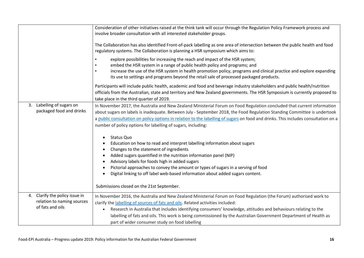|                                                       | Consideration of other initiatives raised at the think tank will occur through the Regulation Policy Framework process and<br>involve broader consultation with all interested stakeholder groups.<br>The Collaboration has also identified Front-of-pack labelling as one area of intersection between the public health and food<br>regulatory systems. The Collaboration is planning a HSR symposium which aims to:<br>explore possibilities for increasing the reach and impact of the HSR system;<br>embed the HSR system in a range of public health policy and programs; and<br>increase the use of the HSR system in health promotion policy, programs and clinical practice and explore expanding<br>its use to settings and programs beyond the retail sale of processed packaged products.<br>Participants will include public health, academic and food and beverage industry stakeholders and public health/nutrition        |
|-------------------------------------------------------|-------------------------------------------------------------------------------------------------------------------------------------------------------------------------------------------------------------------------------------------------------------------------------------------------------------------------------------------------------------------------------------------------------------------------------------------------------------------------------------------------------------------------------------------------------------------------------------------------------------------------------------------------------------------------------------------------------------------------------------------------------------------------------------------------------------------------------------------------------------------------------------------------------------------------------------------|
|                                                       | officials from the Australian, state and territory and New Zealand governments. The HSR Symposium is currently proposed to<br>take place in the third quarter of 2019.                                                                                                                                                                                                                                                                                                                                                                                                                                                                                                                                                                                                                                                                                                                                                                    |
| 3. Labelling of sugars on<br>packaged food and drinks | In November 2017, the Australia and New Zealand Ministerial Forum on Food Regulation concluded that current information<br>about sugars on labels is inadequate. Between July - September 2018, the Food Regulation Standing Committee is undertook<br>a public consultation on policy options in relation to the labelling of sugars on food and drinks. This includes consultation on a<br>number of policy options for labelling of sugars, including:<br>Status Quo<br>Education on how to read and interpret labelling information about sugars<br>Changes to the statement of ingredients<br>Added sugars quantified in the nutrition information panel (NIP)<br>Advisory labels for foods high in added sugars<br>Pictorial approaches to convey the amount or types of sugars in a serving of food<br>Digital linking to off label web-based information about added sugars content.<br>Submissions closed on the 21st September. |
| 4. Clarify the policy issue in                        | In November 2016, the Australia and New Zealand Ministerial Forum on Food Regulation (the Forum) authorised work to                                                                                                                                                                                                                                                                                                                                                                                                                                                                                                                                                                                                                                                                                                                                                                                                                       |
| relation to naming sources<br>of fats and oils        | clarify the labelling of sources of fats and oils. Related activities included:                                                                                                                                                                                                                                                                                                                                                                                                                                                                                                                                                                                                                                                                                                                                                                                                                                                           |
|                                                       | Research in Australia that includes identifying consumers' knowledge, attitudes and behaviours relating to the<br>$\bullet$<br>labelling of fats and oils. This work is being commissioned by the Australian Government Department of Health as<br>part of wider consumer study on food labelling                                                                                                                                                                                                                                                                                                                                                                                                                                                                                                                                                                                                                                         |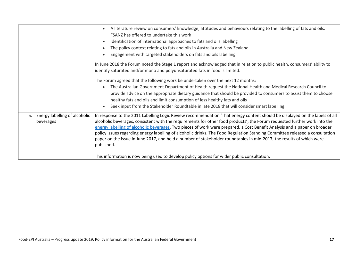|                                                  | A literature review on consumers' knowledge, attitudes and behaviours relating to the labelling of fats and oils.<br>FSANZ has offered to undertake this work<br>Identification of international approaches to fats and oils labelling<br>The policy context relating to fats and oils in Australia and New Zealand<br>Engagement with targeted stakeholders on fats and oils labelling.<br>In June 2018 the Forum noted the Stage 1 report and acknowledged that in relation to public health, consumers' ability to<br>identify saturated and/or mono and polyunsaturated fats in food is limited.<br>The Forum agreed that the following work be undertaken over the next 12 months:<br>The Australian Government Department of Health request the National Health and Medical Research Council to<br>provide advice on the appropriate dietary guidance that should be provided to consumers to assist them to choose<br>healthy fats and oils and limit consumption of less healthy fats and oils<br>Seek input from the Stakeholder Roundtable in late 2018 that will consider smart labelling. |
|--------------------------------------------------|-------------------------------------------------------------------------------------------------------------------------------------------------------------------------------------------------------------------------------------------------------------------------------------------------------------------------------------------------------------------------------------------------------------------------------------------------------------------------------------------------------------------------------------------------------------------------------------------------------------------------------------------------------------------------------------------------------------------------------------------------------------------------------------------------------------------------------------------------------------------------------------------------------------------------------------------------------------------------------------------------------------------------------------------------------------------------------------------------------|
| Energy labelling of alcoholic<br>5.<br>beverages | In response to the 2011 Labelling Logic Review recommendation 'That energy content should be displayed on the labels of all<br>alcoholic beverages, consistent with the requirements for other food products', the Forum requested further work into the<br>energy labelling of alcoholic beverages. Two pieces of work were prepared, a Cost Benefit Analysis and a paper on broader<br>policy issues regarding energy labelling of alcoholic drinks. The Food Regulation Standing Committee released a consultation<br>paper on the issue in June 2017, and held a number of stakeholder roundtables in mid-2017, the results of which were<br>published.<br>This information is now being used to develop policy options for wider public consultation.                                                                                                                                                                                                                                                                                                                                            |